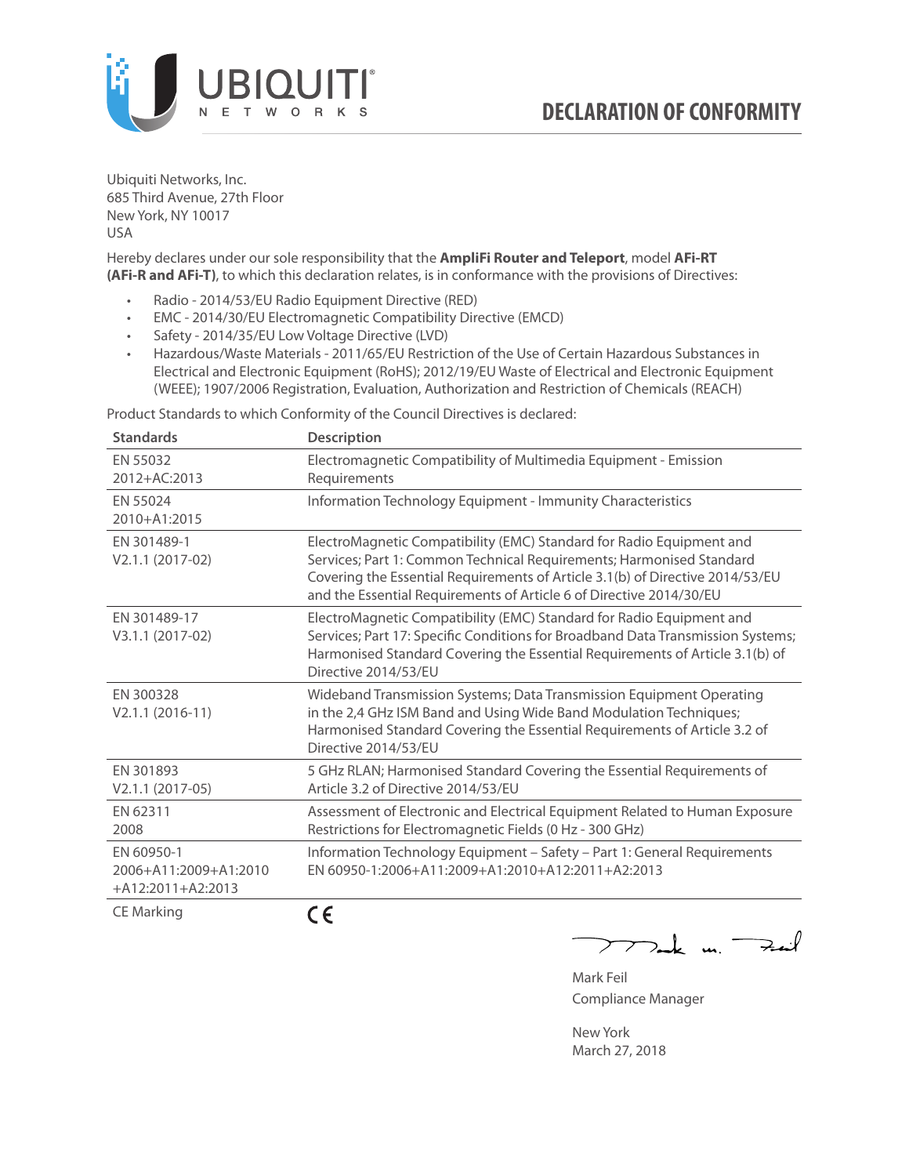

Ubiquiti Networks, Inc. 685 Third Avenue, 27th Floor New York, NY 10017 USA

Hereby declares under our sole responsibility that the **AmpliFi Router and Teleport**, model **AFi-RT (AFi-R and AFi-T)**, to which this declaration relates, is in conformance with the provisions of Directives:

- Radio 2014/53/EU Radio Equipment Directive (RED)
- EMC 2014/30/EU Electromagnetic Compatibility Directive (EMCD)
- Safety 2014/35/EU Low Voltage Directive (LVD)
- Hazardous/Waste Materials 2011/65/EU Restriction of the Use of Certain Hazardous Substances in Electrical and Electronic Equipment (RoHS); 2012/19/EU Waste of Electrical and Electronic Equipment (WEEE); 1907/2006 Registration, Evaluation, Authorization and Restriction of Chemicals (REACH)

Product Standards to which Conformity of the Council Directives is declared:

| <b>Standards</b>                                           | <b>Description</b>                                                                                                                                                                                                                                                                                   |
|------------------------------------------------------------|------------------------------------------------------------------------------------------------------------------------------------------------------------------------------------------------------------------------------------------------------------------------------------------------------|
| EN 55032<br>2012+AC:2013                                   | Electromagnetic Compatibility of Multimedia Equipment - Emission<br>Requirements                                                                                                                                                                                                                     |
| EN 55024<br>2010+A1:2015                                   | Information Technology Equipment - Immunity Characteristics                                                                                                                                                                                                                                          |
| EN 301489-1<br>V2.1.1 (2017-02)                            | ElectroMagnetic Compatibility (EMC) Standard for Radio Equipment and<br>Services; Part 1: Common Technical Requirements; Harmonised Standard<br>Covering the Essential Requirements of Article 3.1(b) of Directive 2014/53/EU<br>and the Essential Requirements of Article 6 of Directive 2014/30/EU |
| EN 301489-17<br>V3.1.1 (2017-02)                           | ElectroMagnetic Compatibility (EMC) Standard for Radio Equipment and<br>Services; Part 17: Specific Conditions for Broadband Data Transmission Systems;<br>Harmonised Standard Covering the Essential Requirements of Article 3.1(b) of<br>Directive 2014/53/EU                                      |
| EN 300328<br>$V2.1.1 (2016-11)$                            | Wideband Transmission Systems; Data Transmission Equipment Operating<br>in the 2,4 GHz ISM Band and Using Wide Band Modulation Techniques;<br>Harmonised Standard Covering the Essential Requirements of Article 3.2 of<br>Directive 2014/53/EU                                                      |
| EN 301893<br>$V2.1.1 (2017-05)$                            | 5 GHz RLAN; Harmonised Standard Covering the Essential Requirements of<br>Article 3.2 of Directive 2014/53/EU                                                                                                                                                                                        |
| EN 62311<br>2008                                           | Assessment of Electronic and Electrical Equipment Related to Human Exposure<br>Restrictions for Electromagnetic Fields (0 Hz - 300 GHz)                                                                                                                                                              |
| EN 60950-1<br>2006+A11:2009+A1:2010<br>$+A12:2011+A2:2013$ | Information Technology Equipment - Safety - Part 1: General Requirements<br>EN 60950-1:2006+A11:2009+A1:2010+A12:2011+A2:2013                                                                                                                                                                        |
| $\sim$ $\sim$ $\sim$ $\sim$ $\sim$                         | - -                                                                                                                                                                                                                                                                                                  |

CE Marking

CE

 $-k$  un  $\rightarrow$  $\overline{\phantom{a}}$ 

Mark Feil Compliance Manager

New York March 27, 2018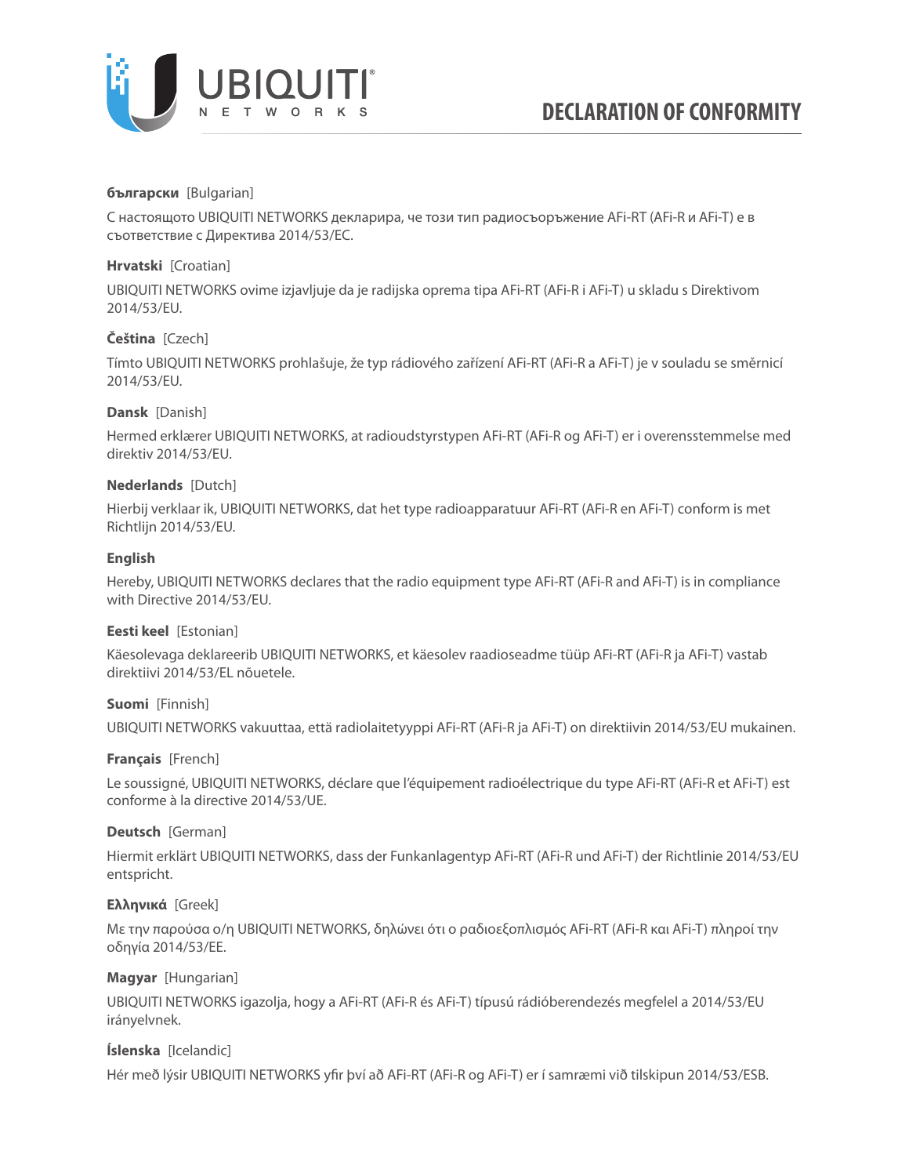

# **български** [Bulgarian]

С настоящото UBIQUITI NETWORKS декларира, че този тип радиосъоръжение AFi-RT (AFi-R и AFi-T) е в съответствие с Директива 2014/53/ЕС.

# **Hrvatski** [Croatian]

UBIQUITI NETWORKS ovime izjavljuje da je radijska oprema tipa AFi-RT (AFi-R i AFi-T) u skladu s Direktivom 2014/53/EU.

# **Čeština** [Czech]

Tímto UBIQUITI NETWORKS prohlašuje, že typ rádiového zařízení AFi-RT (AFi-R a AFi-T) je v souladu se směrnicí 2014/53/EU.

# **Dansk** [Danish]

Hermed erklærer UBIQUITI NETWORKS, at radioudstyrstypen AFi-RT (AFi-R og AFi-T) er i overensstemmelse med direktiv 2014/53/EU.

# **Nederlands** [Dutch]

Hierbij verklaar ik, UBIQUITI NETWORKS, dat het type radioapparatuur AFi-RT (AFi-R en AFi-T) conform is met Richtlijn 2014/53/EU.

# **English**

Hereby, UBIQUITI NETWORKS declares that the radio equipment type AFi-RT (AFi-R and AFi-T) is in compliance with Directive 2014/53/EU.

# **Eesti keel** [Estonian]

Käesolevaga deklareerib UBIQUITI NETWORKS, et käesolev raadioseadme tüüp AFi-RT (AFi-R ja AFi-T) vastab direktiivi 2014/53/EL nõuetele.

# **Suomi** [Finnish]

UBIQUITI NETWORKS vakuuttaa, että radiolaitetyyppi AFi-RT (AFi-R ja AFi-T) on direktiivin 2014/53/EU mukainen.

# **Français** [French]

Le soussigné, UBIQUITI NETWORKS, déclare que l'équipement radioélectrique du type AFi-RT (AFi-R et AFi-T) est conforme à la directive 2014/53/UE.

# **Deutsch** [German]

Hiermit erklärt UBIQUITI NETWORKS, dass der Funkanlagentyp AFi-RT (AFi-R und AFi-T) der Richtlinie 2014/53/EU entspricht.

# **Ελληνικά** [Greek]

Με την παρούσα ο/η UBIQUITI NETWORKS, δηλώνει ότι ο ραδιοεξοπλισμός AFi-RT (AFi-R και AFi-T) πληροί την οδηγία 2014/53/ΕΕ.

# **Magyar** [Hungarian]

UBIQUITI NETWORKS igazolja, hogy a AFi-RT (AFi-R és AFi-T) típusú rádióberendezés megfelel a 2014/53/EU irányelvnek.

# **Íslenska** [Icelandic]

Hér með lýsir UBIQUITI NETWORKS yfir því að AFi-RT (AFi-R og AFi-T) er í samræmi við tilskipun 2014/53/ESB.